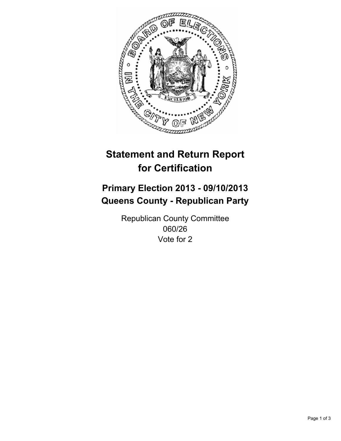

# **Statement and Return Report for Certification**

## **Primary Election 2013 - 09/10/2013 Queens County - Republican Party**

Republican County Committee 060/26 Vote for 2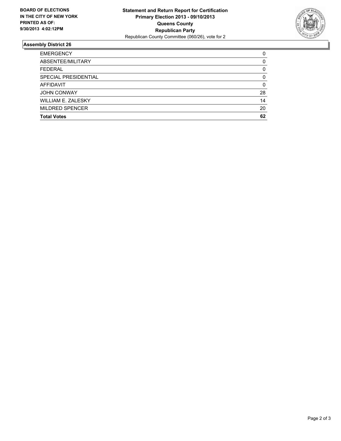

### **Assembly District 26**

| <b>EMERGENCY</b>          | 0        |
|---------------------------|----------|
| ABSENTEE/MILITARY         | 0        |
| <b>FEDERAL</b>            | 0        |
| SPECIAL PRESIDENTIAL      | $\Omega$ |
| <b>AFFIDAVIT</b>          | 0        |
| <b>JOHN CONWAY</b>        | 28       |
| <b>WILLIAM E. ZALESKY</b> | 14       |
| <b>MILDRED SPENCER</b>    | 20       |
| <b>Total Votes</b>        | 62       |